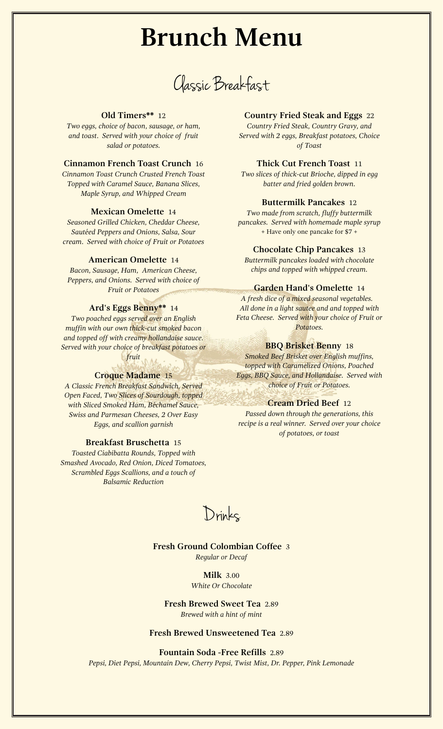# **Brunch Menu**

Classic Breakfast

#### **Old Timers\*\*** 12

*Two eggs, choice of bacon, sausage, or ham, and toast. Served with your choice of fruit salad or potatoes.*

# **Cinnamon French Toast Crunch** 16

*Cinnamon Toast Crunch Crusted French Toast Topped with Caramel Sauce, Banana Slices, Maple Syrup, and Whipped Cream*

#### **Mexican Omelette** 14

*Seasoned Grilled Chicken, Cheddar Cheese, Sautéed Peppers and Onions, Salsa, Sour cream. Served with choice of Fruit or Potatoes*

## **American Omelette** 14

*Bacon, Sausage, Ham, American Cheese, Peppers, and Onions. Served with choice of Fruit or Potatoes*

## **Ard's Eggs Benny\*\*** 14

*Two poached eggs served over an English muffin with our own thick-cut smoked bacon and topped off with creamy hollandaise sauce. Served with your choice of breakfast potatoes or*

*fruit*

## **Croque Madame** 15

*A Classic French Breakfast Sandwich, Served Open Faced, Two Slices of Sourdough, topped with Sliced Smoked Ham, Béchamel Sauce, Swiss and Parmesan Cheeses, 2 Over Easy Eggs, and scallion garnish*

#### **Breakfast Bruschetta** 15

*Toasted Ciabibatta Rounds, Topped with Smashed Avocado, Red Onion, Diced Tomatoes, Scrambled Eggs Scallions, and a touch of Balsamic Reduction*

# **Country Fried Steak and Eggs** 22

*Country Fried Steak, Country Gravy, and Served with 2 eggs, Breakfast potatoes, Choice of Toast*

# **Thick Cut French Toast** 11

*Two slices of thick-cut Brioche, dipped in egg batter and fried golden brown.*

## **Buttermilk Pancakes** 12

*Two made from scratch, fluffy buttermilk pancakes. Served with homemade maple syrup* + Have only one pancake for \$7 +

# **Chocolate Chip Pancakes** 13

*Buttermilk pancakes loaded with chocolate chips and topped with whipped cream.*

# **Garden Hand's Omelette** 14

*A fresh dice of a mixed seasonal vegetables. All done in a light sautee and and topped with Feta Cheese. Served with your choice of Fruit or Potatoes.*

# **BBQ Brisket Benny** 18

*Smoked Beef Brisket over English muffins, topped with Caramelized Onions, Poached Eggs, BBQ Sauce, and Hollandaise. Served with choice of Fruit or Potatoes.*

#### **Cream Dried Beef** 12

*Passed down through the generations, this recipe is a real winner. Served over your choice of potatoes, or toast*

Drinks

## **Fresh Ground Colombian Coffee** 3 *Regular or Decaf*

**Milk** 3.00 *White Or Chocolate*

**Fresh Brewed Sweet Tea** 2.89 *Brewed with a hint of mint*

**Fresh Brewed Unsweetened Tea** 2.89

#### **Fountain Soda -Free Refills** 2.89

*Pepsi, Diet Pepsi, Mountain Dew, Cherry Pepsi, Twist Mist, Dr. Pepper, Pink Lemonade*